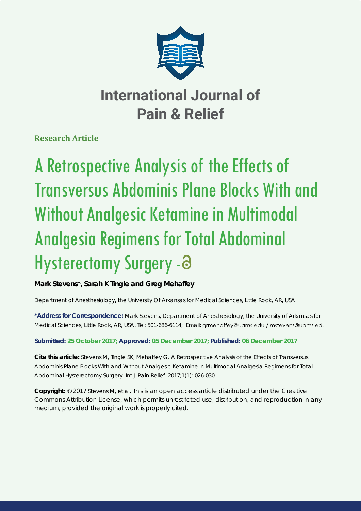

# **International Journal of Pain & Relief**

**Research Article**

# A Retrospective Analysis of the Effects of Transversus Abdominis Plane Blocks With and Without Analgesic Ketamine in Multimodal Analgesia Regimens for Total Abdominal Hysterectomy Surgery - 8

**Mark Stevens\*, Sarah K Tingle and Greg Mehaffey**

*Department of Anesthesiology, the University Of Arkansas for Medical Sciences, Little Rock, AR, USA*

**\*Address for Correspondence:** Mark Stevens, Department of Anesthesiology, the University of Arkansas for Medical Sciences, Little Rock, AR, USA, Tel: 501-686-6114; Email: grmehaffey@uams.edu / mstevens@uams.edu

**Submitted: 25 October 2017; Approved: 05 December 2017; Published: 06 December 2017**

**Cite this article:** Stevens M, Tingle SK, Mehaffey G. A Retrospective Analysis of the Effects of Transversus Abdominis Plane Blocks With and Without Analgesic Ketamine in Multimodal Analgesia Regimens for Total Abdominal Hysterectomy Surgery. Int J Pain Relief. 2017;1(1): 026-030.

**Copyright:** © 2017 Stevens M, et al. This is an open access article distributed under the Creative Commons Attribution License, which permits unrestricted use, distribution, and reproduction in any medium, provided the original work is properly cited.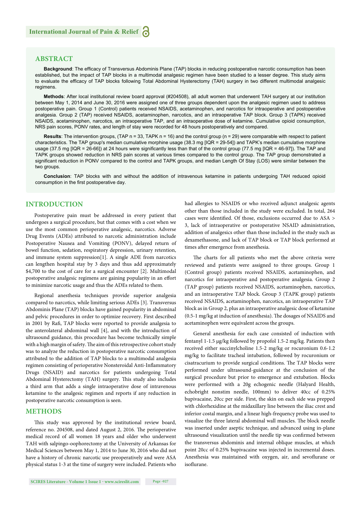### **ABSTRACT**

Background: The efficacy of Transversus Abdominis Plane (TAP) blocks in reducing postoperative narcotic consumption has been established, but the impact of TAP blocks in a multimodal analgesic regimen have been studied to a lesser degree. This study aims to evaluate the efficacy of TAP blocks following Total Abdominal Hysterectomy (TAH) surgery in two different multimodal analgesic regimens.

**Methods**: After local institutional review board approval (#204508), all adult women that underwent TAH surgery at our institution between May 1, 2014 and June 30, 2016 were assigned one of three groups dependent upon the analgesic regimen used to address postoperative pain. Group 1 (Control) patients received NSAIDS, acetaminophen, and narcotics for intraoperative and postoperative analgesia. Group 2 (TAP) received NSAIDS, acetaminophen, narcotics, and an intraoperative TAP block. Group 3 (TAPK) received NSAIDS, acetaminophen, narcotics, an intraoperative TAP, and an intraoperative dose of ketamine. Cumulative opioid consumption, NRS pain scores, PONV rates, and length of stay were recorded for 48 hours postoperatively and compared.

**Results**: The intervention groups, (TAP n = 33, TAPK n = 16) and the control group (n = 29) were comparable with respect to patient characteristics. The TAP group's median cumulative morphine usage (38.3 mg [IQR = 29-54]) and TAPK's median cumulative morphine usage (37.5 mg [IQR = 26-66]) at 24 hours were significantly less than that of the control group (77.5 mg [IQR = 46-97]). The TAP and TAPK groups showed reduction in NRS pain scores at various times compared to the control group. The TAP group demonstrated a significant reduction in PONV compared to the control and TAPK groups, and median Length Of Stay (LOS) were similar between the two groups.

**Conclusion**: TAP blocks with and without the addition of intravenous ketamine in patients undergoing TAH reduced opioid consumption in the first postoperative day.

### **INTRODUCTION**

Postoperative pain must be addressed in every patient that undergoes a surgical procedure, but that comes with a cost when we use the most common perioperative analgesic, narcotics. Adverse Drug Events (ADEs) attributed to narcotic administration include Postoperative Nausea and Vomiting (PONV), delayed return of bowel function, sedation, respiratory depression, urinary retention, and immune system suppression[1]. A single ADE from narcotics can lengthen hospital stay by 3 days and thus add approximately \$4,700 to the cost of care for a surgical encounter [2]. Multimodal postoperative analgesic regimens are gaining popularity in an effort to minimize narcotic usage and thus the ADEs related to them.

Regional anesthesia techniques provide superior analgesia compared to narcotics, while limiting serious ADEs [3]. Transversus Abdominis Plane (TAP) blocks have gained popularity in abdominal and pelvic procedures in order to optimize recovery. First described in 2001 by Rafi, TAP blocks were reported to provide analgesia to the anterolateral abdominal wall [4], and with the introduction of ultrasound guidance, this procedure has become technically simple with a high margin of safety. The aim of this retrospective cohort study was to analyze the reduction in postoperative narcotic consumption attributed to the addition of TAP blocks to a multimodal analgesia regimen consisting of perioperative Nonsteroidal Anti-Inflammatory Drugs (NSAID) and narcotics for patients undergoing Total Abdominal Hysterectomy (TAH) surgery. This study also includes a third arm that adds a single intraoperative dose of intravenous ketamine to the analgesic regimen and reports if any reduction in postoperative narcotic consumption is seen.

#### **METHODS**

This study was approved by the institutional review board, reference no. 204508, and dated August 2, 2016. The perioperative medical record of all women 18 years and older who underwent TAH with salpingo-oophorectomy at the University of Arkansas for Medical Sciences between May 1, 2014 to June 30, 2016 who did not have a history of chronic narcotic use preoperatively and were ASA physical status 1-3 at the time of surgery were included. Patients who had allergies to NSAIDS or who received adjunct analgesic agents other than those included in the study were excluded. In total, 264 cases were identified. Of those, exclusions occurred due to  $ASA$ 3, lack of intraoperative or postoperative NSAID administration, addition of analgesics other than those included in the study such as dexamethasone, and lack of TAP block or TAP block performed at times after emergence from anesthesia.

The charts for all patients who met the above criteria were reviewed and patients were assigned to three groups. Group 1 (Control group) patients received NSAIDS, acetaminophen, and narcotics for intraoperative and postoperative analgesia. Group 2 (TAP group) patients received NSAIDS, acetaminophen, narcotics, and an intraoperative TAP block. Group 3 (TAPK group) patients received NSAIDS, acetaminophen, narcotics, an intraoperative TAP block as in Group 2, plus an intraoperative analgesic dose of ketamine  $(0.5-1 \text{ mg/kg}$  at induction of anesthesia). The dosages of NSAIDS and acetaminophen were equivalent across the groups.

General anesthesia for each case consisted of induction with fentanyl 1-1.5 μg/kg followed by propofol 1.5-2 mg/kg. Patients then received either succinylcholine 1.5-2 mg/kg or rocuronium 0.6-1.2 mg/kg to facilitate tracheal intubation, followed by rocuronium or cisatracurium to provide surgical conditions. The TAP blocks were performed under ultrasound-guidance at the conclusion of the surgical procedure but prior to emergence and extubation. Blocks were performed with a 20g echogenic needle (Halyard Health, echobright nonstim needle, 100mm) to deliver 40cc of 0.25% bupivacaine, 20cc per side. First, the skin on each side was prepped with chlorhexidine at the midaxillary line between the iliac crest and inferior costal margin, and a linear high-frequency probe was used to visualize the three lateral abdominal wall muscles. The block needle was inserted under aseptic technique, and advanced using in-plane ultrasound visualization until the needle tip was confirmed between the transversus abdominis and internal oblique muscles, at which point 20cc of 0.25% bupivacaine was injected in incremental doses. Anesthesia was maintained with oxygen, air, and sevoflurane or isoflurane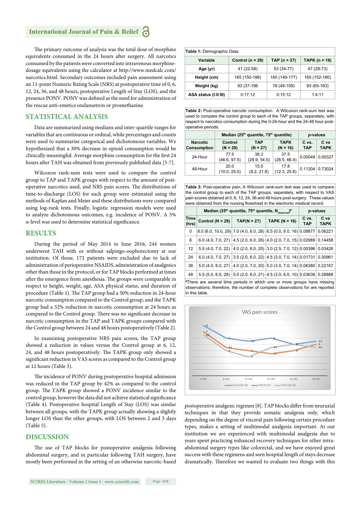The primary outcome of analysis was the total dose of morphine equivalents consumed in the 24 hours after surgery. All narcotics consumed by the patients were converted into intravenous morphinedosage equivalents using the calculator at http://www.medcalc.com/ narcotics.html. Secondary outcomes included pain assessment using an 11-point Numeric Rating Scale (NRS) at postoperative time of 0, 6, 12, 24, 36, and 48 hours, postoperative Length of Stay (LOS), and the presence PONV. PONV was defined as the need for administration of the rescue anti-emetics ondansetron or promethazine.

### **STATISTICAL ANALYSIS**

Data are summarized using medians and inter-quartile ranges for variables that are continuous or ordinal, while percentages and counts were used to summarize categorical and dichotomous variables. We hypothesized that a 30% decrease in opioid consumption would be clinically meaningful. Average morphine consumption for the first 24 hours after TAH was obtained from previously published data [5-7].

Wilcoxon rank-sum tests were used to compare the control group to TAP and TAPK groups with respect to the amount of postoperative narcotics used, and NRS pain scores. The distributions of time-to-discharge (LOS) for each group were estimated using the methods of Kaplan and Meier and these distributions were compared using log-rank tests. Finally, logistic regression models were used to analyze dichotomous outcomes, e.g. incidence of PONV. A 5% α-level was used to determine statistical significance.

#### **RESULTS**

During the period of May 2014 to June 2016, 244 women underwent TAH with or without salpingo-oophorectomy at our institution. Of those, 172 patients were excluded due to lack of administration of perioperative NSAIDS, administration of analgesics other than those in the protocol, or for TAP blocks performed at times after the emergence from anesthesia. The groups were comparable in respect to height, weight, age, ASA physical status, and duration of procedure (Table 1). The TAP group had a 50% reduction in 24-hour narcotic consumption compared to the Control group, and the TAPK group had a 52% reduction in narcotic consumption at 24 hours as compared to the Control group. There was no significant decrease in narcotic consumption in the TAP and TAPK groups compared with the Control group between 24 and 48 hours postoperatively (Table 2).

In examining postoperative NRS pain scores, the TAP group showed a reduction in values versus the Control group at 6, 12, 24, and 48 hours postoperatively. The TAPK group only showed a significant reduction in VAS scores as compared to the Control group at 12 hours (Table 3).

The incidence of PONV during postoperative hospital admission was reduced in the TAP group by 42% as compared to the control group. The TAPK group showed a PONV incidence similar to the control group, however the data did not achieve statistical significance (Table 4). Postoperative hospital Length of Stay (LOS) was similar between all groups, with the TAPK group actually showing a slightly longer LOS than the other groups, with LOS between 2 and 3 days (Table 5).

#### **DISCUSSION**

The use of TAP blocks for postoperative analgesia following abdominal surgery, and in particular following TAH surgery, have mostly been performed in the setting of an otherwise narcotic-based

| Table 1: Demographic Data. |                      |                |                 |  |  |
|----------------------------|----------------------|----------------|-----------------|--|--|
| Variable                   | Control ( $n = 29$ ) | $TAP (n = 27)$ | TAPK $(n = 16)$ |  |  |
| Age (yr)                   | 41 (22-58)           | 53 (34-77)     | 47 (28-73)      |  |  |
| Height (cm)                | 165 (150-188)        | 165 (149-177)  | 165 (152-180)   |  |  |
| Weight (kg)                | 93 (37-196           | 76 (48-109)    | 93 (65-163)     |  |  |
| ASA status (I:II:III)      | 0:17:12              | 0:15:12        | 1:4:11          |  |  |

**Table 2:** Post-operative narcotic consumption. A Wilcoxon rank-sum test was used to compare the control group to each of the TAP groups, separately, with respect to narcotics consumption during the 0-24-hour and the 24-48 hour postoperative periods.

|                                       | Median (25 <sup>th</sup> quantile, 75 <sup>th</sup> quantile) | p-values             |                           |                     |                     |
|---------------------------------------|---------------------------------------------------------------|----------------------|---------------------------|---------------------|---------------------|
| <b>Narcotic</b><br><b>Consumption</b> | Control<br>$(N = 29)$                                         | TAP<br>$(N = 27)$    | <b>TAPK</b><br>$(N = 16)$ | C vs.<br><b>TAP</b> | C vs<br><b>TAPK</b> |
| 24-Hour                               | 77.5<br>(46.6, 97.5)                                          | 38.3<br>(29.9, 54.5) | 37.5<br>(26.5, 66.4)      | 0.00049             | 0.00327             |
| 48-Hour                               | 20.0<br>(10.0, 25.0)                                          | 15.0<br>(9.2, 21.8)  | 17.8<br>(12.3, 25.8)      | 0.11204             | 0.73024             |

**Table 3:** Post-operative pain**.** A Wilcoxon rank-sum test was used to compare the control group to each of the TAP groups, separately, with respect to VAS pain scores obtained at 0, 6, 12, 24, 36 and 48 hours post-surgery. These values were obtained from the nursing flowsheet in the electronic medical record.

|                                                                          | Median (25 <sup>th</sup> quantile, 75 <sup>th</sup> quantile, N <sub>observed</sub> ) <sup>#</sup> |               |                   | p-values            |                     |  |
|--------------------------------------------------------------------------|----------------------------------------------------------------------------------------------------|---------------|-------------------|---------------------|---------------------|--|
| Time<br>(hrs)                                                            | Control ( $N = 29$ )                                                                               | $TAP(N = 27)$ | TAPK ( $N = 16$ ) | C vs.<br><b>TAP</b> | C vs<br><b>TAPK</b> |  |
| 0                                                                        | 8.0 (6.0, 10.0, 29) 7.0 (4.0, 8.0, 26) 6.5 (0.0, 8.0, 16) 0.08877                                  |               |                   |                     | 0.06221             |  |
| 6                                                                        | 6.0 (4.0, 7.0, 27) 4.5 (2.0, 6.0, 26) 4.0 (2.0, 7.0, 15) 0.02989 0.14458                           |               |                   |                     |                     |  |
| 12                                                                       | 5.5 (4.0, 7.0, 22) 4.0 (2.0, 6.0, 25) 3.0 (2.5, 7.0, 12) 0.00396 0.03426                           |               |                   |                     |                     |  |
| 24                                                                       | 6.0 (4.0, 7.0, 27) 3.5 (2.0, 6.0, 22) 4.5 (3.0, 7.0, 14) 0.01731 0.30961                           |               |                   |                     |                     |  |
| 36                                                                       | 5.0 (4.0, 8.0, 27) 4.0 (2.0, 7.0, 20) 5.0 (3.0, 7.0, 14) 0.06380 0.22167                           |               |                   |                     |                     |  |
| 48                                                                       | $5.5(5.0, 6.5, 28)$ $\vert 5.0(2.0, 6.0, 21) \vert 4.5(3.0, 6.0, 10) \vert 0.03636 \vert 0.28888$  |               |                   |                     |                     |  |
| *There are several time periods in which one or more groups have missing |                                                                                                    |               |                   |                     |                     |  |

observations; therefore, the number of complete observations for are reported in this table.



postoperative analgesic regimen [8]. TAP blocks differ from neuraxial techniques in that they provide somatic analgesia only, which depending on the degree of visceral pain following certain procedure types, makes a setting of multimodal analgesia important. At our institution we are experienced with multimodal analgesia due to years spent practicing enhanced recovery techniques for other intraabdominal surgery types like colorectal, and we have enjoyed great success with these regimens and seen hospital length of stays decrease dramatically. Therefore we wanted to evaluate two things with this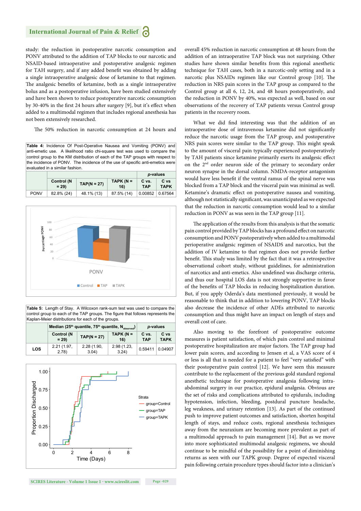study: the reduction in postoperative narcotic consumption and PONV attributed to the addition of TAP blocks to our narcotic and NSAID-based intraoperative and postoperative analgesic regimen for TAH surgery, and if any added benefit was obtained by adding a single intraoperative analgesic dose of ketamine to that regimen. The analgesic benefits of ketamine, both as a single intraoperative bolus and as a postoperative infusion, have been studied extensively and have been shown to reduce postoperative narcotic consumption by 30-40% in the first 24 hours after surgery [9], but it's effect when added to a multimodal regimen that includes regional anesthesia has not been extensively researched.

The 50% reduction in narcotic consumption at 24 hours and

**Table 4:** Incidence Of Post-Operative Nausea and Vomiting (PONV) and anti-emetic use. A likelihood ratio chi-square test was used to compare the control group to the KM distribution of each of the TAP groups with respect to the incidence of PONV. The incidence of the use of specific anti-emetics were evaluated in a similar fashion.

|             |                      |               |                     | p-values            |                     |
|-------------|----------------------|---------------|---------------------|---------------------|---------------------|
|             | Control (N<br>$= 29$ | $TAP(N = 27)$ | TAPK ( $N =$<br>16) | C vs.<br><b>TAP</b> | C vs<br><b>TAPK</b> |
| <b>PONV</b> | 82.8% (24)           | 48.1% (13)    | 87.5% (14)          | $0.00852$ 0.67564   |                     |



**Table 5:** Length of Stay. A Wilcoxon rank-sum test was used to compare the control group to each of the TAP groups. The figure that follows represents the Kaplan-Meier distributions for each of the groups.

|            | Median (25 <sup>th</sup> quantile, 75 <sup>th</sup> quantile, N <sub>observed</sub> ) |                      |                     | p-values            |                     |
|------------|---------------------------------------------------------------------------------------|----------------------|---------------------|---------------------|---------------------|
|            | Control (N<br>$= 29$                                                                  | $TAP(N = 27)$        | $TAPK(N =$<br>16)   | C vs.<br><b>TAP</b> | C vs<br><b>TAPK</b> |
| <b>LOS</b> | 2.21(1.97,<br>2.78                                                                    | 2.28 (1.90,<br>3.04) | 2.98(1.23,<br>3.24) | 0.59411             | 0.04907             |



**SCIRES Literature - Volume 1 Issue 1 - www.scireslit.com Page -029**

overall 45% reduction in narcotic consumption at 48 hours from the addition of an intraoperative TAP block was not surprising. Other studies have shown similar benefits from this regional anesthetic technique for TAH cases, both in a narcotic-only setting and in a narcotic plus NSAIDs regimen like our Control group [10]. The reduction in NRS pain scores in the TAP group as compared to the Control group at all 6, 12, 24, and 48 hours postoperatively, and the reduction in PONV by 40%, was expected as well, based on our observations of the recovery of TAP patients versus Control group patients in the recovery room.

What we did find interesting was that the addition of an intraoperative dose of intravenous ketamine did not significantly reduce the narcotic usage from the TAP group, and postoperative NRS pain scores were similar to the TAP group. This might speak to the amount of visceral pain typically experienced postoperatively by TAH patients since ketamine primarily exerts its analgesic effect on the 2nd order neuron side of the primary to secondary order neuron synapse in the dorsal column. NMDA-receptor antagonism would have less benefit if the ventral ramus of the spinal nerve was blocked from a TAP block and the visceral pain was minimal as well. Ketamine's dramatic effect on postoperative nausea and vomiting, although not statistically significant, was unanticipated as we expected that the reduction in narcotic consumption would lead to a similar reduction in PONV as was seen in the TAP group [11].

The application of the results from this analysis is that the somatic pain control provided by TAP blocks has a profound effect on narcotic consumption and PONV postoperatively when added to a multimodal perioperative analgesic regimen of NSAIDS and narcotics, but the addition of IV ketamine to that regimen does not provide further benefit. This study was limited by the fact that it was a retrospective observational cohort study, without guidelines, for administration of narcotics and anti-emetics. Also undefined was discharge criteria, and thus our hospital LOS data is not strongly supportive in favor of the benefits of TAP blocks in reducing hospitalization duration. But, if you apply Oderda's data mentioned previously, it would be reasonable to think that in addition to lowering PONV, TAP blocks also decrease the incidence of other ADEs attributed to narcotic consumption and thus might have an impact on length of stays and overall cost of care.

Also moving to the forefront of postoperative outcome measures is patient satisfaction, of which pain control and minimal postoperative hospitalization are major factors. The TAP group had lower pain scores, and according to Jensen et al, a VAS score of 4 or less is all that is needed for a patient to feel "very satisfied" with their postoperative pain control [12]. We have seen this measure contribute to the replacement of the previous gold standard regional anesthetic technique for postoperative analgesia following intraabdominal surgery in our practice, epidural analgesia. Obvious are the set of risks and complications attributed to epidurals, including hypotension, infection, bleeding, postdural puncture headache, leg weakness, and urinary retention [13]. As part of the continued push to improve patient outcomes and satisfaction, shorten hospital length of stays, and reduce costs, regional anesthesia techniques away from the neuraxium are becoming more prevalent as part of a multimodal approach to pain management [14]. But as we move into more sophisticated multimodal analgesic regimens, we should continue to be mindful of the possibility for a point of diminishing returns as seen with our TAPK group. Degree of expected visceral pain following certain procedure types should factor into a clinician's